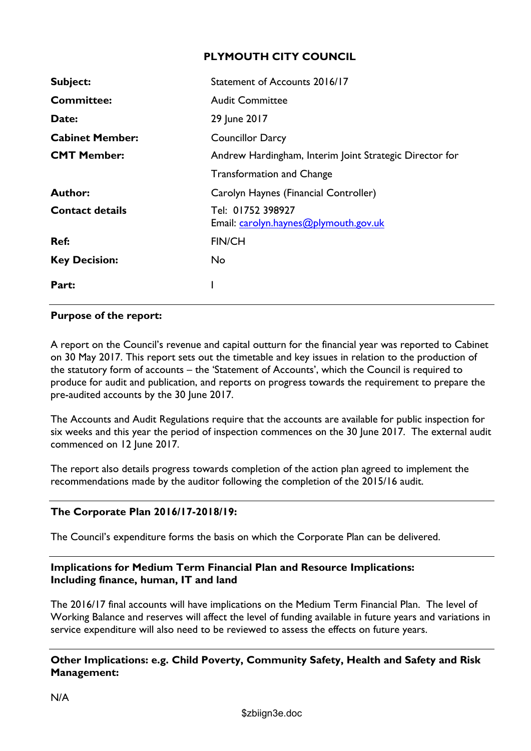# **PLYMOUTH CITY COUNCIL**

| Subject:               | Statement of Accounts 2016/17                              |
|------------------------|------------------------------------------------------------|
| <b>Committee:</b>      | <b>Audit Committee</b>                                     |
| Date:                  | 29 June 2017                                               |
| <b>Cabinet Member:</b> | <b>Councillor Darcy</b>                                    |
| <b>CMT Member:</b>     | Andrew Hardingham, Interim Joint Strategic Director for    |
|                        | <b>Transformation and Change</b>                           |
| <b>Author:</b>         | Carolyn Haynes (Financial Controller)                      |
| <b>Contact details</b> | Tel: 01752 398927<br>Email: carolyn.haynes@plymouth.gov.uk |
| Ref:                   | <b>FIN/CH</b>                                              |
| <b>Key Decision:</b>   | No.                                                        |
| Part:                  |                                                            |

## **Purpose of the report:**

A report on the Council's revenue and capital outturn for the financial year was reported to Cabinet on 30 May 2017. This report sets out the timetable and key issues in relation to the production of the statutory form of accounts – the 'Statement of Accounts', which the Council is required to produce for audit and publication, and reports on progress towards the requirement to prepare the pre-audited accounts by the 30 June 2017.

The Accounts and Audit Regulations require that the accounts are available for public inspection for six weeks and this year the period of inspection commences on the 30 June 2017. The external audit commenced on 12 June 2017.

The report also details progress towards completion of the action plan agreed to implement the recommendations made by the auditor following the completion of the 2015/16 audit.

## **The Corporate Plan 2016/17-2018/19:**

The Council's expenditure forms the basis on which the Corporate Plan can be delivered.

## **Implications for Medium Term Financial Plan and Resource Implications: Including finance, human, IT and land**

The 2016/17 final accounts will have implications on the Medium Term Financial Plan. The level of Working Balance and reserves will affect the level of funding available in future years and variations in service expenditure will also need to be reviewed to assess the effects on future years.

## **Other Implications: e.g. Child Poverty, Community Safety, Health and Safety and Risk Management:**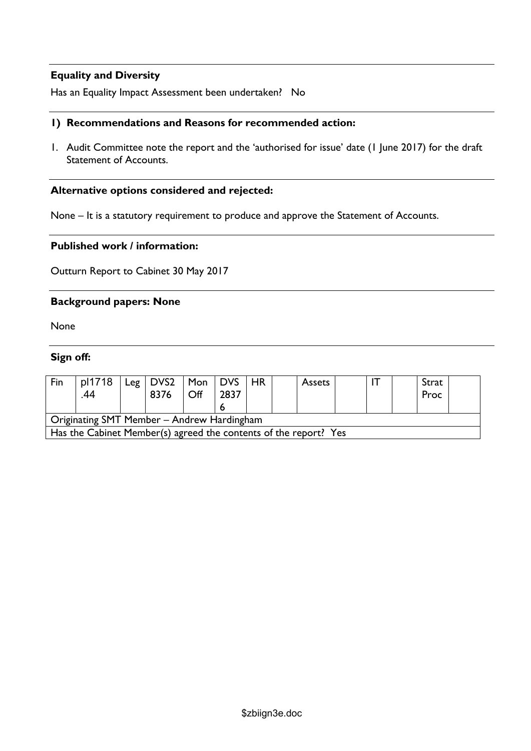## **Equality and Diversity**

Has an Equality Impact Assessment been undertaken? No

#### **1) Recommendations and Reasons for recommended action:**

1. Audit Committee note the report and the 'authorised for issue' date (1 June 2017) for the draft Statement of Accounts.

# **Alternative options considered and rejected:**

None – It is a statutory requirement to produce and approve the Statement of Accounts.

#### **Published work / information:**

Outturn Report to Cabinet 30 May 2017

#### **Background papers: None**

None

## **Sign off:**

| Fin                                                              | pl1718<br>.44 |  | $Leg \mid DVS2$<br>8376 | Mon   DVS<br>Off | 2837 | <b>HR</b> | <b>Assets</b> |  |  | Strat<br>Proc |  |
|------------------------------------------------------------------|---------------|--|-------------------------|------------------|------|-----------|---------------|--|--|---------------|--|
| Originating SMT Member - Andrew Hardingham                       |               |  |                         |                  |      |           |               |  |  |               |  |
| Has the Cabinet Member(s) agreed the contents of the report? Yes |               |  |                         |                  |      |           |               |  |  |               |  |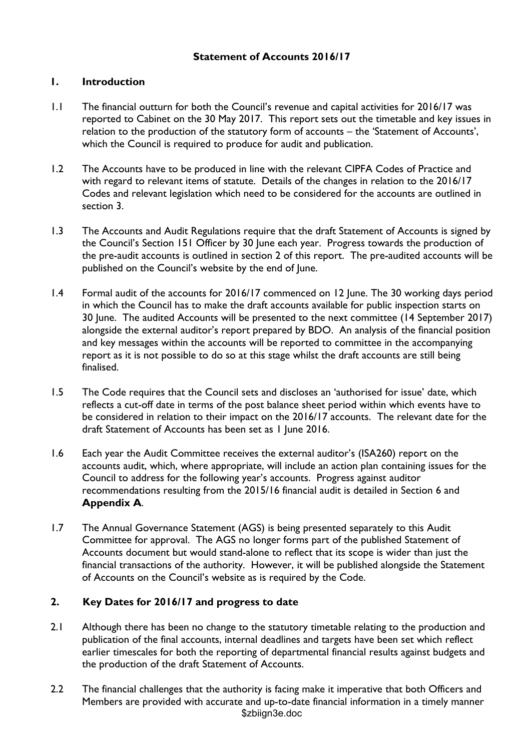## **1. Introduction**

- 1.1 The financial outturn for both the Council's revenue and capital activities for 2016/17 was reported to Cabinet on the 30 May 2017. This report sets out the timetable and key issues in relation to the production of the statutory form of accounts – the 'Statement of Accounts', which the Council is required to produce for audit and publication.
- 1.2 The Accounts have to be produced in line with the relevant CIPFA Codes of Practice and with regard to relevant items of statute. Details of the changes in relation to the 2016/17 Codes and relevant legislation which need to be considered for the accounts are outlined in section 3.
- 1.3 The Accounts and Audit Regulations require that the draft Statement of Accounts is signed by the Council's Section 151 Officer by 30 June each year. Progress towards the production of the pre-audit accounts is outlined in section 2 of this report. The pre-audited accounts will be published on the Council's website by the end of June.
- 1.4 Formal audit of the accounts for 2016/17 commenced on 12 June. The 30 working days period in which the Council has to make the draft accounts available for public inspection starts on 30 June. The audited Accounts will be presented to the next committee (14 September 2017) alongside the external auditor's report prepared by BDO. An analysis of the financial position and key messages within the accounts will be reported to committee in the accompanying report as it is not possible to do so at this stage whilst the draft accounts are still being finalised.
- 1.5 The Code requires that the Council sets and discloses an 'authorised for issue' date, which reflects a cut-off date in terms of the post balance sheet period within which events have to be considered in relation to their impact on the 2016/17 accounts. The relevant date for the draft Statement of Accounts has been set as 1 June 2016.
- 1.6 Each year the Audit Committee receives the external auditor's (ISA260) report on the accounts audit, which, where appropriate, will include an action plan containing issues for the Council to address for the following year's accounts. Progress against auditor recommendations resulting from the 2015/16 financial audit is detailed in Section 6 and **Appendix A**.
- 1.7 The Annual Governance Statement (AGS) is being presented separately to this Audit Committee for approval. The AGS no longer forms part of the published Statement of Accounts document but would stand-alone to reflect that its scope is wider than just the financial transactions of the authority. However, it will be published alongside the Statement of Accounts on the Council's website as is required by the Code.

# **2. Key Dates for 2016/17 and progress to date**

- 2.1 Although there has been no change to the statutory timetable relating to the production and publication of the final accounts, internal deadlines and targets have been set which reflect earlier timescales for both the reporting of departmental financial results against budgets and the production of the draft Statement of Accounts.
- \$zbiign3e.doc 2.2 The financial challenges that the authority is facing make it imperative that both Officers and Members are provided with accurate and up-to-date financial information in a timely manner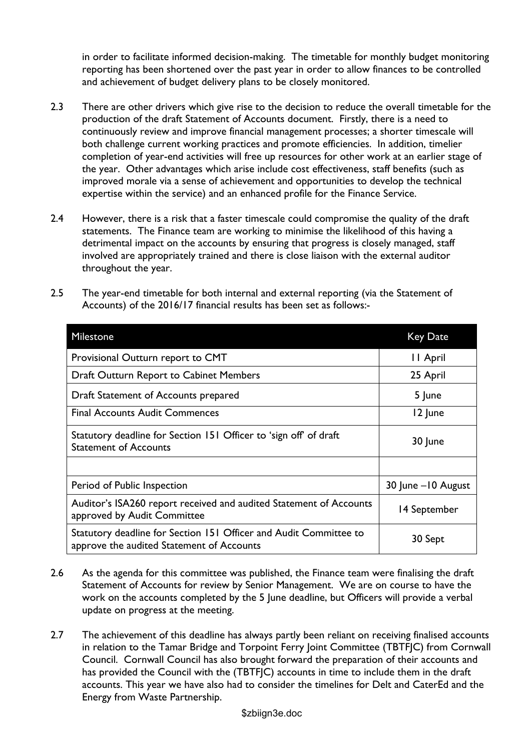in order to facilitate informed decision-making. The timetable for monthly budget monitoring reporting has been shortened over the past year in order to allow finances to be controlled and achievement of budget delivery plans to be closely monitored.

- 2.3 There are other drivers which give rise to the decision to reduce the overall timetable for the production of the draft Statement of Accounts document. Firstly, there is a need to continuously review and improve financial management processes; a shorter timescale will both challenge current working practices and promote efficiencies. In addition, timelier completion of year-end activities will free up resources for other work at an earlier stage of the year. Other advantages which arise include cost effectiveness, staff benefits (such as improved morale via a sense of achievement and opportunities to develop the technical expertise within the service) and an enhanced profile for the Finance Service.
- 2.4 However, there is a risk that a faster timescale could compromise the quality of the draft statements. The Finance team are working to minimise the likelihood of this having a detrimental impact on the accounts by ensuring that progress is closely managed, staff involved are appropriately trained and there is close liaison with the external auditor throughout the year.

| Milestone                                                                                                      | <b>Key Date</b>    |  |  |
|----------------------------------------------------------------------------------------------------------------|--------------------|--|--|
| Provisional Outturn report to CMT                                                                              | II April           |  |  |
| Draft Outturn Report to Cabinet Members                                                                        | 25 April           |  |  |
| Draft Statement of Accounts prepared                                                                           | 5 June             |  |  |
| <b>Final Accounts Audit Commences</b>                                                                          | 12 June            |  |  |
| Statutory deadline for Section 151 Officer to 'sign off' of draft<br><b>Statement of Accounts</b>              | 30 June            |  |  |
|                                                                                                                |                    |  |  |
| Period of Public Inspection                                                                                    | 30 June -10 August |  |  |
| Auditor's ISA260 report received and audited Statement of Accounts<br>approved by Audit Committee              | 14 September       |  |  |
| Statutory deadline for Section 151 Officer and Audit Committee to<br>approve the audited Statement of Accounts | 30 Sept            |  |  |

2.5 The year-end timetable for both internal and external reporting (via the Statement of Accounts) of the 2016/17 financial results has been set as follows:-

- 2.6 As the agenda for this committee was published, the Finance team were finalising the draft Statement of Accounts for review by Senior Management. We are on course to have the work on the accounts completed by the 5 June deadline, but Officers will provide a verbal update on progress at the meeting.
- 2.7 The achievement of this deadline has always partly been reliant on receiving finalised accounts in relation to the Tamar Bridge and Torpoint Ferry Joint Committee (TBTFJC) from Cornwall Council. Cornwall Council has also brought forward the preparation of their accounts and has provided the Council with the (TBTFJC) accounts in time to include them in the draft accounts. This year we have also had to consider the timelines for Delt and CaterEd and the Energy from Waste Partnership.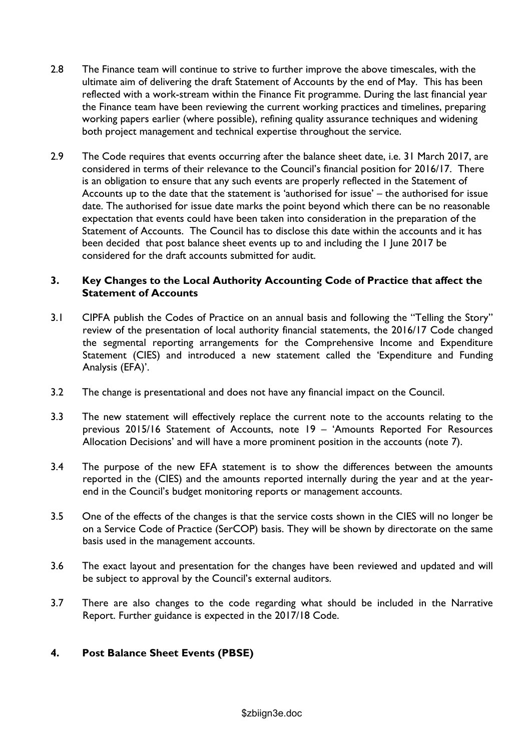- 2.8 The Finance team will continue to strive to further improve the above timescales, with the ultimate aim of delivering the draft Statement of Accounts by the end of May. This has been reflected with a work-stream within the Finance Fit programme. During the last financial year the Finance team have been reviewing the current working practices and timelines, preparing working papers earlier (where possible), refining quality assurance techniques and widening both project management and technical expertise throughout the service.
- 2.9 The Code requires that events occurring after the balance sheet date, i.e. 31 March 2017, are considered in terms of their relevance to the Council's financial position for 2016/17. There is an obligation to ensure that any such events are properly reflected in the Statement of Accounts up to the date that the statement is 'authorised for issue' – the authorised for issue date. The authorised for issue date marks the point beyond which there can be no reasonable expectation that events could have been taken into consideration in the preparation of the Statement of Accounts. The Council has to disclose this date within the accounts and it has been decided that post balance sheet events up to and including the 1 June 2017 be considered for the draft accounts submitted for audit.

## **3. Key Changes to the Local Authority Accounting Code of Practice that affect the Statement of Accounts**

- 3.1 CIPFA publish the Codes of Practice on an annual basis and following the "Telling the Story" review of the presentation of local authority financial statements, the 2016/17 Code changed the segmental reporting arrangements for the Comprehensive Income and Expenditure Statement (CIES) and introduced a new statement called the 'Expenditure and Funding Analysis (EFA)'.
- 3.2 The change is presentational and does not have any financial impact on the Council.
- 3.3 The new statement will effectively replace the current note to the accounts relating to the previous 2015/16 Statement of Accounts, note 19 – 'Amounts Reported For Resources Allocation Decisions' and will have a more prominent position in the accounts (note 7).
- 3.4 The purpose of the new EFA statement is to show the differences between the amounts reported in the (CIES) and the amounts reported internally during the year and at the yearend in the Council's budget monitoring reports or management accounts.
- 3.5 One of the effects of the changes is that the service costs shown in the CIES will no longer be on a Service Code of Practice (SerCOP) basis. They will be shown by directorate on the same basis used in the management accounts.
- 3.6 The exact layout and presentation for the changes have been reviewed and updated and will be subject to approval by the Council's external auditors.
- 3.7 There are also changes to the code regarding what should be included in the Narrative Report. Further guidance is expected in the 2017/18 Code.

## **4. Post Balance Sheet Events (PBSE)**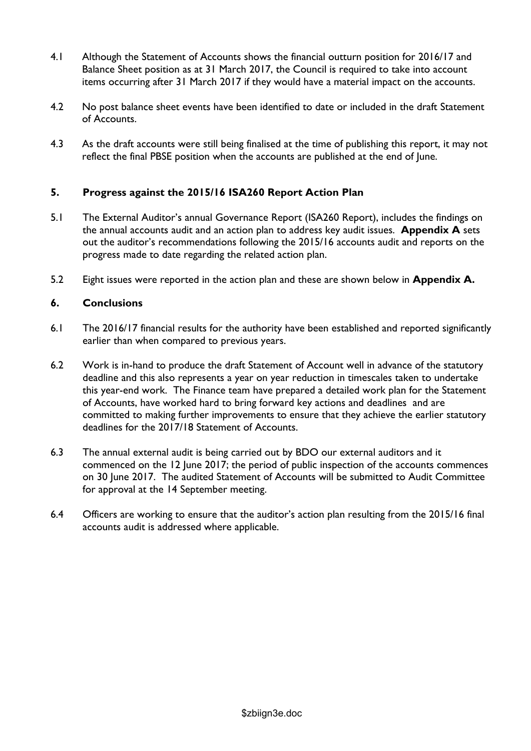- 4.1 Although the Statement of Accounts shows the financial outturn position for 2016/17 and Balance Sheet position as at 31 March 2017, the Council is required to take into account items occurring after 31 March 2017 if they would have a material impact on the accounts.
- 4.2 No post balance sheet events have been identified to date or included in the draft Statement of Accounts.
- 4.3 As the draft accounts were still being finalised at the time of publishing this report, it may not reflect the final PBSE position when the accounts are published at the end of June.

## **5. Progress against the 2015/16 ISA260 Report Action Plan**

- 5.1 The External Auditor's annual Governance Report (ISA260 Report), includes the findings on the annual accounts audit and an action plan to address key audit issues. **Appendix A** sets out the auditor's recommendations following the 2015/16 accounts audit and reports on the progress made to date regarding the related action plan.
- 5.2 Eight issues were reported in the action plan and these are shown below in **Appendix A.**

### **6. Conclusions**

- 6.1 The 2016/17 financial results for the authority have been established and reported significantly earlier than when compared to previous years.
- 6.2 Work is in-hand to produce the draft Statement of Account well in advance of the statutory deadline and this also represents a year on year reduction in timescales taken to undertake this year-end work. The Finance team have prepared a detailed work plan for the Statement of Accounts, have worked hard to bring forward key actions and deadlines and are committed to making further improvements to ensure that they achieve the earlier statutory deadlines for the 2017/18 Statement of Accounts.
- 6.3 The annual external audit is being carried out by BDO our external auditors and it commenced on the 12 June 2017; the period of public inspection of the accounts commences on 30 June 2017. The audited Statement of Accounts will be submitted to Audit Committee for approval at the 14 September meeting.
- 6.4 Officers are working to ensure that the auditor's action plan resulting from the 2015/16 final accounts audit is addressed where applicable.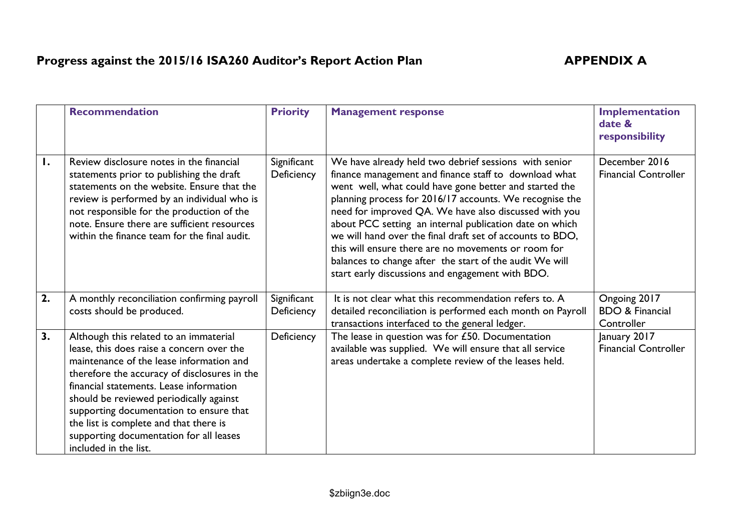|                | <b>Recommendation</b>                                                                                                                                                                                                                                                                                                                                                                                                          | <b>Priority</b>           | <b>Management response</b>                                                                                                                                                                                                                                                                                                                                                                                                                                                                                                                                                                 | Implementation<br>date &<br>responsibility               |
|----------------|--------------------------------------------------------------------------------------------------------------------------------------------------------------------------------------------------------------------------------------------------------------------------------------------------------------------------------------------------------------------------------------------------------------------------------|---------------------------|--------------------------------------------------------------------------------------------------------------------------------------------------------------------------------------------------------------------------------------------------------------------------------------------------------------------------------------------------------------------------------------------------------------------------------------------------------------------------------------------------------------------------------------------------------------------------------------------|----------------------------------------------------------|
| $\mathbf{I}$ . | Review disclosure notes in the financial<br>statements prior to publishing the draft<br>statements on the website. Ensure that the<br>review is performed by an individual who is<br>not responsible for the production of the<br>note. Ensure there are sufficient resources<br>within the finance team for the final audit.                                                                                                  | Significant<br>Deficiency | We have already held two debrief sessions with senior<br>finance management and finance staff to download what<br>went well, what could have gone better and started the<br>planning process for 2016/17 accounts. We recognise the<br>need for improved QA. We have also discussed with you<br>about PCC setting an internal publication date on which<br>we will hand over the final draft set of accounts to BDO,<br>this will ensure there are no movements or room for<br>balances to change after the start of the audit We will<br>start early discussions and engagement with BDO. | December 2016<br><b>Financial Controller</b>             |
| 2.             | A monthly reconciliation confirming payroll<br>costs should be produced.                                                                                                                                                                                                                                                                                                                                                       | Significant<br>Deficiency | It is not clear what this recommendation refers to. A<br>detailed reconciliation is performed each month on Payroll<br>transactions interfaced to the general ledger.                                                                                                                                                                                                                                                                                                                                                                                                                      | Ongoing 2017<br><b>BDO &amp; Financial</b><br>Controller |
| 3.             | Although this related to an immaterial<br>lease, this does raise a concern over the<br>maintenance of the lease information and<br>therefore the accuracy of disclosures in the<br>financial statements. Lease information<br>should be reviewed periodically against<br>supporting documentation to ensure that<br>the list is complete and that there is<br>supporting documentation for all leases<br>included in the list. | Deficiency                | The lease in question was for £50. Documentation<br>available was supplied. We will ensure that all service<br>areas undertake a complete review of the leases held.                                                                                                                                                                                                                                                                                                                                                                                                                       | January 2017<br><b>Financial Controller</b>              |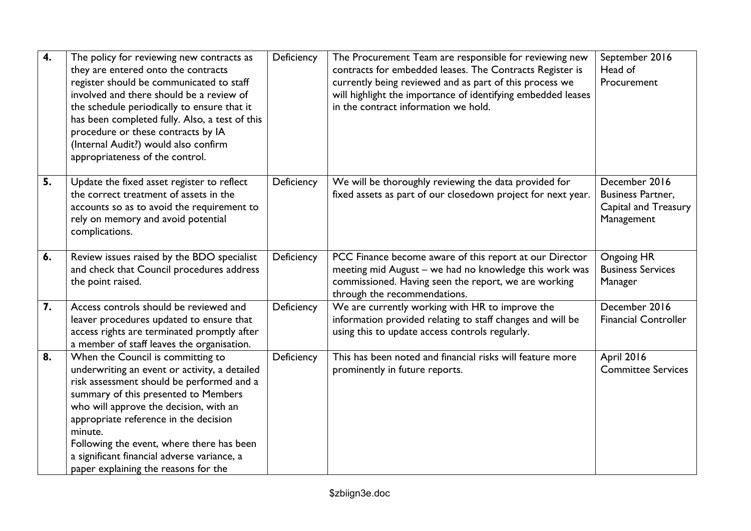| 4. | The policy for reviewing new contracts as<br>they are entered onto the contracts<br>register should be communicated to staff<br>involved and there should be a review of<br>the schedule periodically to ensure that it<br>has been completed fully. Also, a test of this<br>procedure or these contracts by IA<br>(Internal Audit?) would also confirm<br>appropriateness of the control.                | Deficiency | The Procurement Team are responsible for reviewing new<br>contracts for embedded leases. The Contracts Register is<br>currently being reviewed and as part of this process we<br>will highlight the importance of identifying embedded leases<br>in the contract information we hold. | September 2016<br>Head of<br>Procurement                                        |
|----|-----------------------------------------------------------------------------------------------------------------------------------------------------------------------------------------------------------------------------------------------------------------------------------------------------------------------------------------------------------------------------------------------------------|------------|---------------------------------------------------------------------------------------------------------------------------------------------------------------------------------------------------------------------------------------------------------------------------------------|---------------------------------------------------------------------------------|
| 5. | Update the fixed asset register to reflect<br>the correct treatment of assets in the<br>accounts so as to avoid the requirement to<br>rely on memory and avoid potential<br>complications.                                                                                                                                                                                                                | Deficiency | We will be thoroughly reviewing the data provided for<br>fixed assets as part of our closedown project for next year.                                                                                                                                                                 | December 2016<br><b>Business Partner,</b><br>Capital and Treasury<br>Management |
| 6. | Review issues raised by the BDO specialist<br>and check that Council procedures address<br>the point raised.                                                                                                                                                                                                                                                                                              | Deficiency | PCC Finance become aware of this report at our Director<br>meeting mid August - we had no knowledge this work was<br>commissioned. Having seen the report, we are working<br>through the recommendations.                                                                             | Ongoing HR<br><b>Business Services</b><br>Manager                               |
| 7. | Access controls should be reviewed and<br>leaver procedures updated to ensure that<br>access rights are terminated promptly after<br>a member of staff leaves the organisation.                                                                                                                                                                                                                           | Deficiency | We are currently working with HR to improve the<br>information provided relating to staff changes and will be<br>using this to update access controls regularly.                                                                                                                      | December 2016<br><b>Financial Controller</b>                                    |
| 8. | When the Council is committing to<br>underwriting an event or activity, a detailed<br>risk assessment should be performed and a<br>summary of this presented to Members<br>who will approve the decision, with an<br>appropriate reference in the decision<br>minute.<br>Following the event, where there has been<br>a significant financial adverse variance, a<br>paper explaining the reasons for the | Deficiency | This has been noted and financial risks will feature more<br>prominently in future reports.                                                                                                                                                                                           | April 2016<br><b>Committee Services</b>                                         |